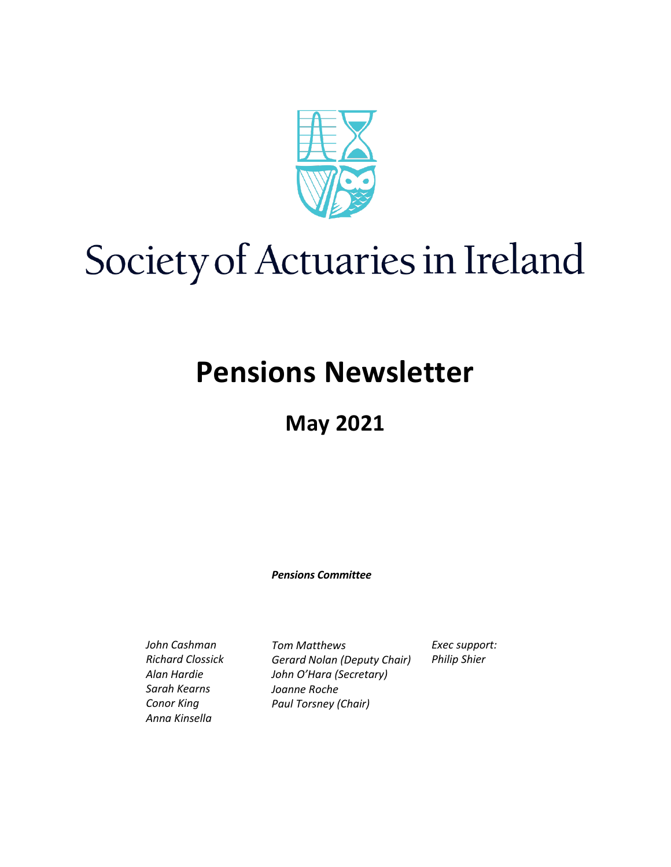

# Society of Actuaries in Ireland

# **Pensions Newsletter**

# **May 2021**

*Pensions Committee*

*John Cashman Richard Clossick Alan Hardie Sarah Kearns Conor King Anna Kinsella*

*Tom Matthews Gerard Nolan (Deputy Chair) John O'Hara (Secretary) Joanne Roche Paul Torsney (Chair)*

*Exec support: Philip Shier*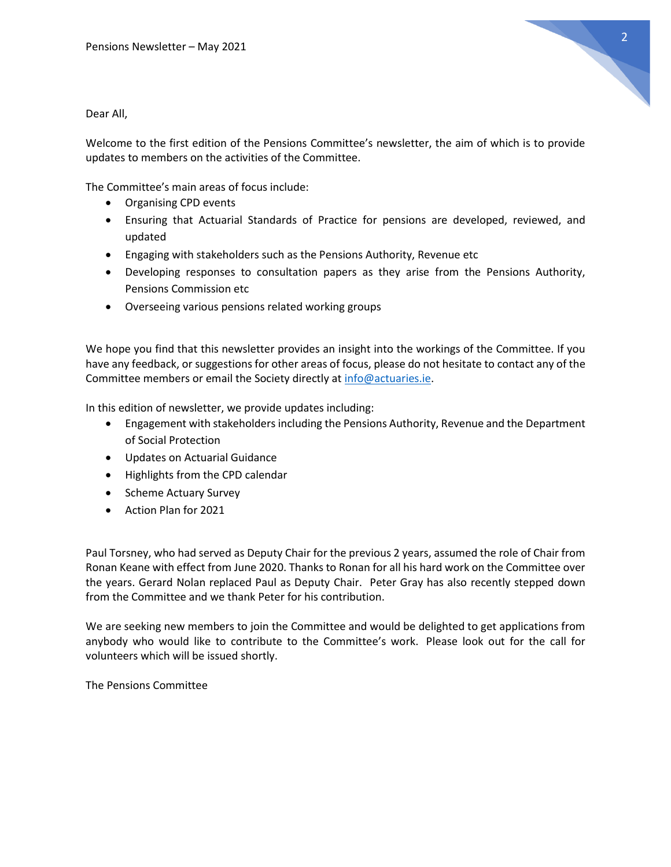

Dear All,

Welcome to the first edition of the Pensions Committee's newsletter, the aim of which is to provide updates to members on the activities of the Committee.

The Committee's main areas of focus include:

- Organising CPD events
- Ensuring that Actuarial Standards of Practice for pensions are developed, reviewed, and updated
- Engaging with stakeholders such as the Pensions Authority, Revenue etc
- Developing responses to consultation papers as they arise from the Pensions Authority, Pensions Commission etc
- Overseeing various pensions related working groups

We hope you find that this newsletter provides an insight into the workings of the Committee. If you have any feedback, or suggestions for other areas of focus, please do not hesitate to contact any of the Committee members or email the Society directly at [info@actuaries.ie.](mailto:info@actuaries.ie)

In this edition of newsletter, we provide updates including:

- Engagement with stakeholders including the Pensions Authority, Revenue and the Department of Social Protection
- Updates on Actuarial Guidance
- Highlights from the CPD calendar
- Scheme Actuary Survey
- Action Plan for 2021

Paul Torsney, who had served as Deputy Chair for the previous 2 years, assumed the role of Chair from Ronan Keane with effect from June 2020. Thanks to Ronan for all his hard work on the Committee over the years. Gerard Nolan replaced Paul as Deputy Chair. Peter Gray has also recently stepped down from the Committee and we thank Peter for his contribution.

We are seeking new members to join the Committee and would be delighted to get applications from anybody who would like to contribute to the Committee's work. Please look out for the call for volunteers which will be issued shortly.

The Pensions Committee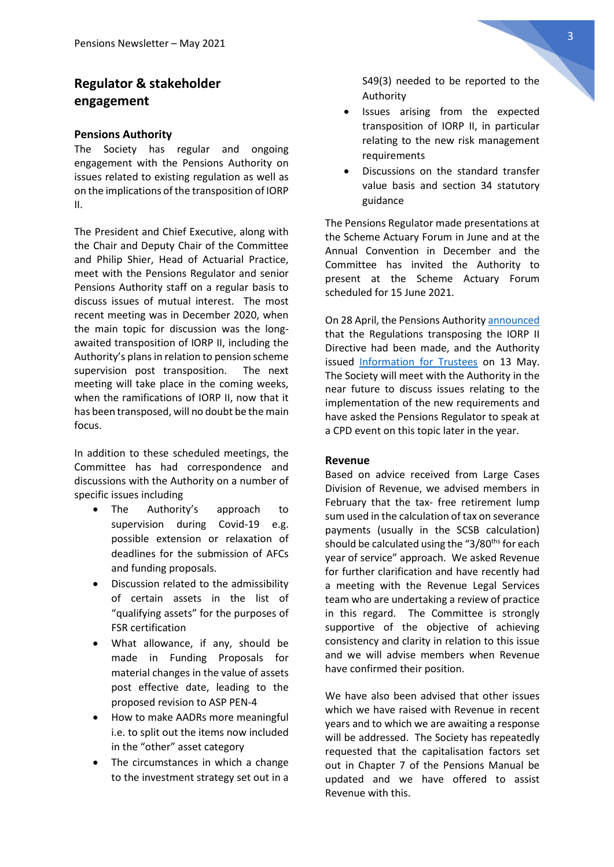# **Regulator & stakeholder engagement**

#### **Pensions Authority**

The Society has regular and ongoing engagement with the Pensions Authority on issues related to existing regulation as well as on the implications of the transposition of IORP II.

The President and Chief Executive, along with the Chair and Deputy Chair of the Committee and Philip Shier, Head of Actuarial Practice, meet with the Pensions Regulator and senior Pensions Authority staff on a regular basis to discuss issues of mutual interest. The most recent meeting was in December 2020, when the main topic for discussion was the longawaited transposition of IORP II, including the Authority's plans in relation to pension scheme supervision post transposition. The next meeting will take place in the coming weeks, when the ramifications of IORP II, now that it has been transposed, will no doubt be the main focus.

In addition to these scheduled meetings, the Committee has had correspondence and discussions with the Authority on a number of specific issues including

- The Authority's approach to supervision during Covid-19 e.g. possible extension or relaxation of deadlines for the submission of AFCs and funding proposals.
- Discussion related to the admissibility of certain assets in the list of "qualifying assets" for the purposes of FSR certification
- What allowance, if any, should be made in Funding Proposals for material changes in the value of assets post effective date, leading to the proposed revision to ASP PEN-4
- How to make AADRs more meaningful i.e. to split out the items now included in the "other" asset category
- The circumstances in which a change to the investment strategy set out in a

S49(3) needed to be reported to the Authority

- Issues arising from the expected transposition of IORP II, in particular relating to the new risk management requirements
- Discussions on the standard transfer value basis and section 34 statutory guidance

The Pensions Regulator made presentations at the Scheme Actuary Forum in June and at the Annual Convention in December and the Committee has invited the Authority to present at the Scheme Actuary Forum scheduled for 15 June 2021.

On 28 April, the Pensions Authorit[y announced](https://www.pensionsauthority.ie/en/news_press/news_press_archive/eu_directive_iorp_ii_is_transposed_into_irish_law.html) that the Regulations transposing the IORP II Directive had been made, and the Authority issued [Information for Trustees](https://www.pensionsauthority.ie/en/news_press/news_press_archive/european_union_occupational_pension_schemes_regulations_2021.html) on 13 May. The Society will meet with the Authority in the near future to discuss issues relating to the implementation of the new requirements and have asked the Pensions Regulator to speak at a CPD event on this topic later in the year.

#### **Revenue**

Based on advice received from Large Cases Division of Revenue, we advised members in February that the tax- free retirement lump sum used in the calculation of tax on severance payments (usually in the SCSB calculation) should be calculated using the "3/80<sup>ths</sup> for each year of service" approach. We asked Revenue for further clarification and have recently had a meeting with the Revenue Legal Services team who are undertaking a review of practice in this regard. The Committee is strongly supportive of the objective of achieving consistency and clarity in relation to this issue and we will advise members when Revenue have confirmed their position.

We have also been advised that other issues which we have raised with Revenue in recent years and to which we are awaiting a response will be addressed. The Society has repeatedly requested that the capitalisation factors set out in Chapter 7 of the Pensions Manual be updated and we have offered to assist Revenue with this.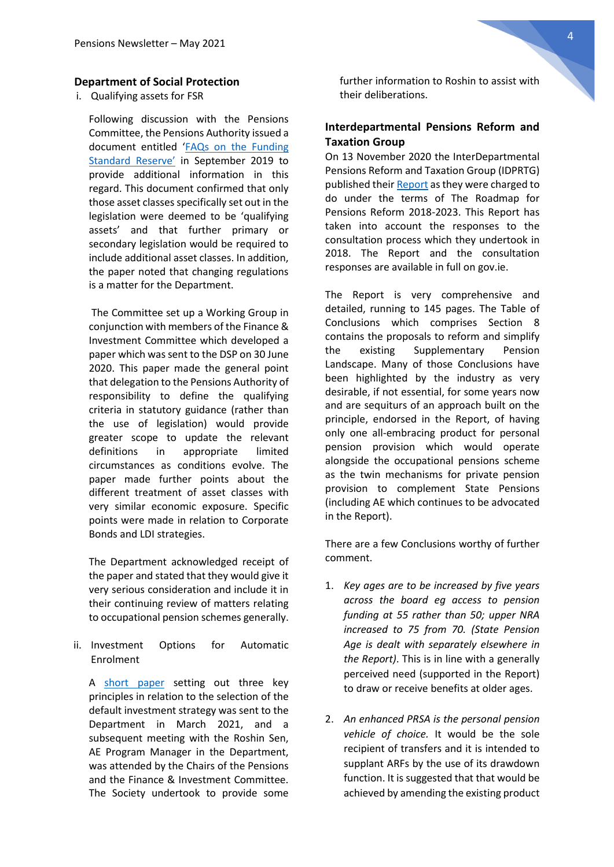#### **Department of Social Protection**

i. Qualifying assets for FSR

Following discussion with the Pensions Committee, the Pensions Authority issued a document entitled '[FAQs on the Funding](https://www.pensionsauthority.ie/en/news_press/news_press_archive/faqs_on_the_funding_standard_reserve.html)  [Standard Reserve'](https://www.pensionsauthority.ie/en/news_press/news_press_archive/faqs_on_the_funding_standard_reserve.html) in September 2019 to provide additional information in this regard. This document confirmed that only those asset classes specifically set out in the legislation were deemed to be 'qualifying assets' and that further primary or secondary legislation would be required to include additional asset classes. In addition, the paper noted that changing regulations is a matter for the Department.

The Committee set up a Working Group in conjunction with members of the Finance & Investment Committee which developed a paper which was sent to the DSP on 30 June 2020. This paper made the general point that delegation to the Pensions Authority of responsibility to define the qualifying criteria in statutory guidance (rather than the use of legislation) would provide greater scope to update the relevant definitions in appropriate limited circumstances as conditions evolve. The paper made further points about the different treatment of asset classes with very similar economic exposure. Specific points were made in relation to Corporate Bonds and LDI strategies.

The Department acknowledged receipt of the paper and stated that they would give it very serious consideration and include it in their continuing review of matters relating to occupational pension schemes generally.

ii. Investment Options for Automatic Enrolment

A [short paper](https://web.actuaries.ie/sites/default/files/story/2021/04/210401%20Investment%20Approaches%20to%20AE.pdf) setting out three key principles in relation to the selection of the default investment strategy was sent to the Department in March 2021, and a subsequent meeting with the Roshin Sen, AE Program Manager in the Department, was attended by the Chairs of the Pensions and the Finance & Investment Committee. The Society undertook to provide some further information to Roshin to assist with their deliberations.

#### **Interdepartmental Pensions Reform and Taxation Group**

On 13 November 2020 the InterDepartmental Pensions Reform and Taxation Group (IDPRTG) published thei[r Report](https://www.gov.ie/en/publication/98d7f-report-of-the-interdepartmental-pensions-reform-and-taxation-group/) as they were charged to do under the terms of The Roadmap for Pensions Reform 2018-2023. This Report has taken into account the responses to the consultation process which they undertook in 2018. The Report and the consultation responses are available in full on gov.ie.

The Report is very comprehensive and detailed, running to 145 pages. The Table of Conclusions which comprises Section 8 contains the proposals to reform and simplify the existing Supplementary Pension Landscape. Many of those Conclusions have been highlighted by the industry as very desirable, if not essential, for some years now and are sequiturs of an approach built on the principle, endorsed in the Report, of having only one all-embracing product for personal pension provision which would operate alongside the occupational pensions scheme as the twin mechanisms for private pension provision to complement State Pensions (including AE which continues to be advocated in the Report).

There are a few Conclusions worthy of further comment.

- 1. *Key ages are to be increased by five years across the board eg access to pension funding at 55 rather than 50; upper NRA increased to 75 from 70. (State Pension Age is dealt with separately elsewhere in the Report)*. This is in line with a generally perceived need (supported in the Report) to draw or receive benefits at older ages.
- 2. *An enhanced PRSA is the personal pension vehicle of choice.* It would be the sole recipient of transfers and it is intended to supplant ARFs by the use of its drawdown function. It is suggested that that would be achieved by amending the existing product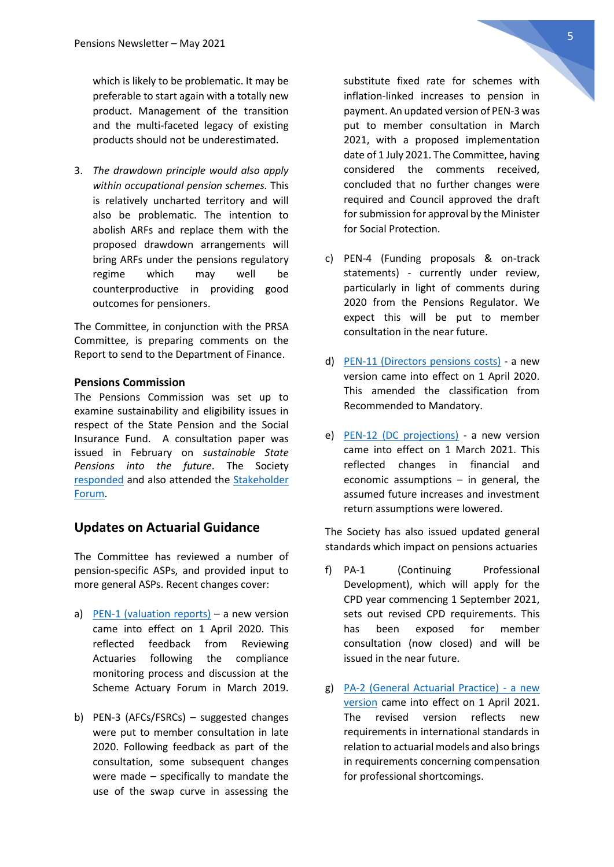which is likely to be problematic. It may be preferable to start again with a totally new product. Management of the transition and the multi-faceted legacy of existing products should not be underestimated.

3. *The drawdown principle would also apply within occupational pension schemes.* This is relatively uncharted territory and will also be problematic. The intention to abolish ARFs and replace them with the proposed drawdown arrangements will bring ARFs under the pensions regulatory regime which may well be counterproductive in providing good outcomes for pensioners.

The Committee, in conjunction with the PRSA Committee, is preparing comments on the Report to send to the Department of Finance.

#### **Pensions Commission**

The Pensions Commission was set up to examine sustainability and eligibility issues in respect of the State Pension and the Social Insurance Fund. A consultation paper was issued in February on *sustainable State Pensions into the future*. The Society [responded](https://web.actuaries.ie/sites/default/files/story/2021/03/210304%20SAI%20Submission%20to%20Pensions%20Commission%20consultation.pdf) and also attended the [Stakeholder](https://www.gov.ie/en/consultation/0a525-the-pensions-commission-consultation/)  [Forum.](https://www.gov.ie/en/consultation/0a525-the-pensions-commission-consultation/)

#### **Updates on Actuarial Guidance**

The Committee has reviewed a number of pension-specific ASPs, and provided input to more general ASPs. Recent changes cover:

- a) [PEN-1 \(valuation reports\)](https://web.actuaries.ie/standards/asp/asp-pen-1) a new version came into effect on 1 April 2020. This reflected feedback from Reviewing Actuaries following the compliance monitoring process and discussion at the Scheme Actuary Forum in March 2019.
- b) PEN-3 (AFCs/FSRCs) suggested changes were put to member consultation in late 2020. Following feedback as part of the consultation, some subsequent changes were made – specifically to mandate the use of the swap curve in assessing the

substitute fixed rate for schemes with inflation-linked increases to pension in payment. An updated version of PEN-3 was put to member consultation in March 2021, with a proposed implementation date of 1 July 2021. The Committee, having considered the comments received, concluded that no further changes were required and Council approved the draft for submission for approval by the Minister for Social Protection.

- c) PEN-4 (Funding proposals & on-track statements) - currently under review, particularly in light of comments during 2020 from the Pensions Regulator. We expect this will be put to member consultation in the near future.
- d) [PEN-11 \(Directors pensions costs\)](https://web.actuaries.ie/standards/asp/asp-pen-11) a new version came into effect on 1 April 2020. This amended the classification from Recommended to Mandatory.
- e) [PEN-12 \(DC projections\)](https://web.actuaries.ie/standards/asp/asp-pen-12) a new version came into effect on 1 March 2021. This reflected changes in financial and economic assumptions – in general, the assumed future increases and investment return assumptions were lowered.

The Society has also issued updated general standards which impact on pensions actuaries

- f) PA-1 (Continuing Professional Development), which will apply for the CPD year commencing 1 September 2021, sets out revised CPD requirements. This has been exposed for member consultation (now closed) and will be issued in the near future.
- g) [PA-2 \(General Actuarial Practice\) -](https://web.actuaries.ie/sites/default/files/asp/ASP%20PA-2/Final%20Version%20of%20PA%202%20v1.1%20April%202021%20%28with%20explanatory%20note%29.pdf) a new [version](https://web.actuaries.ie/sites/default/files/asp/ASP%20PA-2/Final%20Version%20of%20PA%202%20v1.1%20April%202021%20%28with%20explanatory%20note%29.pdf) came into effect on 1 April 2021. The revised version reflects new requirements in international standards in relation to actuarial models and also brings in requirements concerning compensation for professional shortcomings.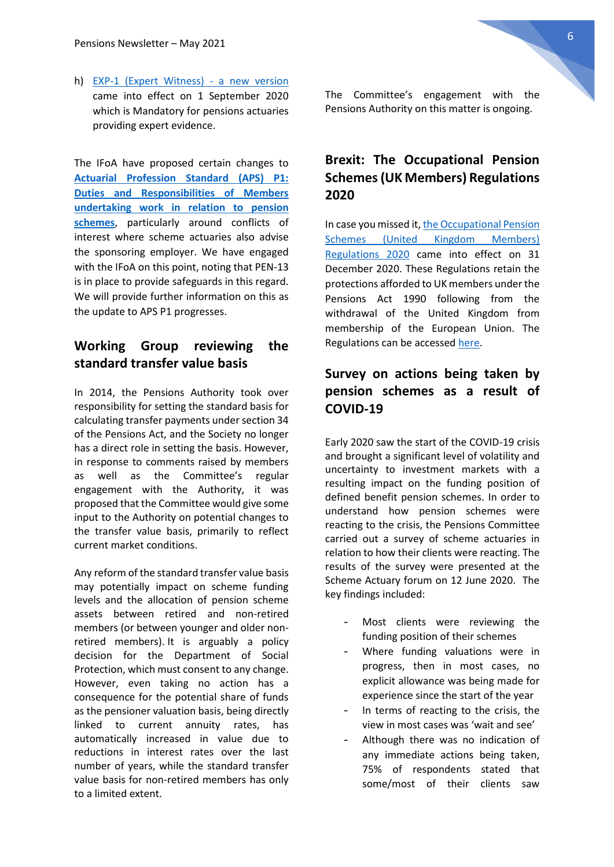h) [EXP-1 \(Expert Witness\) -](https://web.actuaries.ie/sites/default/files/asp/ASP%20EXP-1/ASP%20EXP-1%20v1.3.pdf) a new version came into effect on 1 September 2020 which is Mandatory for pensions actuaries providing expert evidence.

The IFoA have proposed certain changes to **[Actuarial Profession Standard \(APS\) P1:](https://www.actuaries.org.uk/news-and-insights/news/proposals-introduce-revised-actuarial-profession-standard-aps-p1)  [Duties and Responsibilities of Members](https://www.actuaries.org.uk/news-and-insights/news/proposals-introduce-revised-actuarial-profession-standard-aps-p1)  [undertaking work in relation to pension](https://www.actuaries.org.uk/news-and-insights/news/proposals-introduce-revised-actuarial-profession-standard-aps-p1)  [schemes](https://www.actuaries.org.uk/news-and-insights/news/proposals-introduce-revised-actuarial-profession-standard-aps-p1)**, particularly around conflicts of interest where scheme actuaries also advise the sponsoring employer. We have engaged with the IFoA on this point, noting that PEN-13 is in place to provide safeguards in this regard. We will provide further information on this as the update to APS P1 progresses.

### **Working Group reviewing the standard transfer value basis**

In 2014, the Pensions Authority took over responsibility for setting the standard basis for calculating transfer payments under section 34 of the Pensions Act, and the Society no longer has a direct role in setting the basis. However, in response to comments raised by members as well as the Committee's regular engagement with the Authority, it was proposed that the Committee would give some input to the Authority on potential changes to the transfer value basis, primarily to reflect current market conditions.

Any reform of the standard transfer value basis may potentially impact on scheme funding levels and the allocation of pension scheme assets between retired and non-retired members (or between younger and older nonretired members). It is arguably a policy decision for the Department of Social Protection, which must consent to any change. However, even taking no action has a consequence for the potential share of funds as the pensioner valuation basis, being directly linked to current annuity rates, has automatically increased in value due to reductions in interest rates over the last number of years, while the standard transfer value basis for non-retired members has only to a limited extent.

The Committee's engagement with the Pensions Authority on this matter is ongoing.

# **Brexit: The Occupational Pension Schemes (UK Members) Regulations 2020**

In case you missed it[, the Occupational Pension](https://www.pensionsauthority.ie/en/news_press/news_press_archive/the_occupational_pension_schemes_united_kingdom_members_regulations_2020.html)  [Schemes \(United Kingdom Members\)](https://www.pensionsauthority.ie/en/news_press/news_press_archive/the_occupational_pension_schemes_united_kingdom_members_regulations_2020.html)  [Regulations 2020](https://www.pensionsauthority.ie/en/news_press/news_press_archive/the_occupational_pension_schemes_united_kingdom_members_regulations_2020.html) came into effect on 31 December 2020. These Regulations retain the protections afforded to UK members under the Pensions Act 1990 following from the withdrawal of the United Kingdom from membership of the European Union. The Regulations can be accesse[d here.](http://www.irishstatutebook.ie/eli/2020/si/717/made/en/pdf)

# **Survey on actions being taken by pension schemes as a result of COVID-19**

Early 2020 saw the start of the COVID-19 crisis and brought a significant level of volatility and uncertainty to investment markets with a resulting impact on the funding position of defined benefit pension schemes. In order to understand how pension schemes were reacting to the crisis, the Pensions Committee carried out a survey of scheme actuaries in relation to how their clients were reacting. The results of the survey were presented at the Scheme Actuary forum on 12 June 2020. The key findings included:

- Most clients were reviewing the funding position of their schemes
- Where funding valuations were in progress, then in most cases, no explicit allowance was being made for experience since the start of the year
- In terms of reacting to the crisis, the view in most cases was 'wait and see'
- Although there was no indication of any immediate actions being taken, 75% of respondents stated that some/most of their clients saw